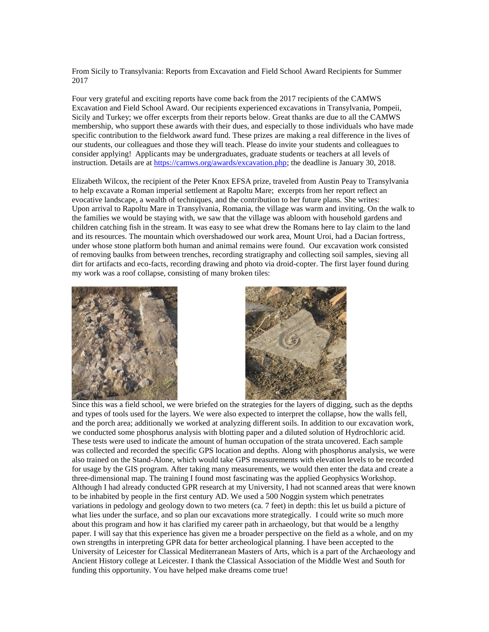From Sicily to Transylvania: Reports from Excavation and Field School Award Recipients for Summer 2017

Four very grateful and exciting reports have come back from the 2017 recipients of the CAMWS Excavation and Field School Award. Our recipients experienced excavations in Transylvania, Pompeii, Sicily and Turkey; we offer excerpts from their reports below. Great thanks are due to all the CAMWS membership, who support these awards with their dues, and especially to those individuals who have made specific contribution to the fieldwork award fund. These prizes are making a real difference in the lives of our students, our colleagues and those they will teach. Please do invite your students and colleagues to consider applying! Applicants may be undergraduates, graduate students or teachers at all levels of instruction. Details are at [https://camws.org/awards/excavation.php;](https://camws.org/awards/excavation.php) the deadline is January 30, 2018.

Elizabeth Wilcox, the recipient of the Peter Knox EFSA prize, traveled from Austin Peay to Transylvania to help excavate a Roman imperial settlement at Rapoltu Mare; excerpts from her report reflect an evocative landscape, a wealth of techniques, and the contribution to her future plans. She writes: Upon arrival to Rapoltu Mare in Transylvania, Romania, the village was warm and inviting. On the walk to the families we would be staying with, we saw that the village was abloom with household gardens and children catching fish in the stream. It was easy to see what drew the Romans here to lay claim to the land and its resources. The mountain which overshadowed our work area, Mount Uroi, had a Dacian fortress, under whose stone platform both human and animal remains were found. Our excavation work consisted of removing baulks from between trenches, recording stratigraphy and collecting soil samples, sieving all dirt for artifacts and eco-facts, recording drawing and photo via droid-copter. The first layer found during my work was a roof collapse, consisting of many broken tiles:





Since this was a field school, we were briefed on the strategies for the layers of digging, such as the depths and types of tools used for the layers. We were also expected to interpret the collapse, how the walls fell, and the porch area; additionally we worked at analyzing different soils. In addition to our excavation work, we conducted some phosphorus analysis with blotting paper and a diluted solution of Hydrochloric acid. These tests were used to indicate the amount of human occupation of the strata uncovered. Each sample was collected and recorded the specific GPS location and depths. Along with phosphorus analysis, we were also trained on the Stand-Alone, which would take GPS measurements with elevation levels to be recorded for usage by the GIS program. After taking many measurements, we would then enter the data and create a three-dimensional map. The training I found most fascinating was the applied Geophysics Workshop. Although I had already conducted GPR research at my University, I had not scanned areas that were known to be inhabited by people in the first century AD. We used a 500 Noggin system which penetrates variations in pedology and geology down to two meters (ca. 7 feet) in depth: this let us build a picture of what lies under the surface, and so plan our excavations more strategically. I could write so much more about this program and how it has clarified my career path in archaeology, but that would be a lengthy paper. I will say that this experience has given me a broader perspective on the field as a whole, and on my own strengths in interpreting GPR data for better archeological planning. I have been accepted to the University of Leicester for Classical Mediterranean Masters of Arts, which is a part of the Archaeology and Ancient History college at Leicester. I thank the Classical Association of the Middle West and South for funding this opportunity. You have helped make dreams come true!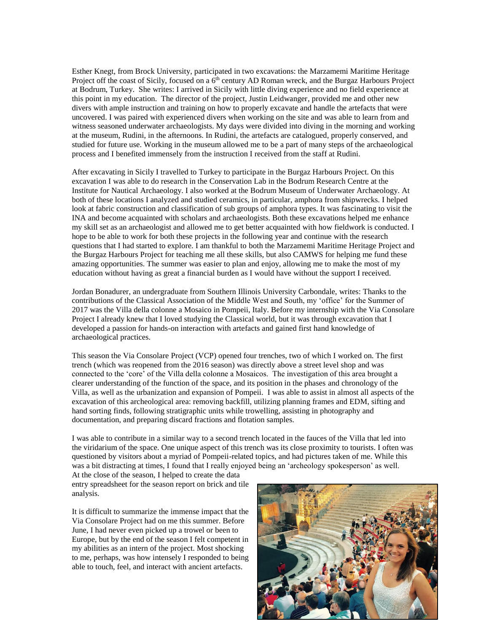Esther Knegt, from Brock University, participated in two excavations: the Marzamemi Maritime Heritage Project off the coast of Sicily, focused on a  $6<sup>th</sup>$  century AD Roman wreck, and the Burgaz Harbours Project at Bodrum, Turkey. She writes: I arrived in Sicily with little diving experience and no field experience at this point in my education. The director of the project, Justin Leidwanger, provided me and other new divers with ample instruction and training on how to properly excavate and handle the artefacts that were uncovered. I was paired with experienced divers when working on the site and was able to learn from and witness seasoned underwater archaeologists. My days were divided into diving in the morning and working at the museum, Rudini, in the afternoons. In Rudini, the artefacts are catalogued, properly conserved, and studied for future use. Working in the museum allowed me to be a part of many steps of the archaeological process and I benefited immensely from the instruction I received from the staff at Rudini.

After excavating in Sicily I travelled to Turkey to participate in the Burgaz Harbours Project. On this excavation I was able to do research in the Conservation Lab in the Bodrum Research Centre at the Institute for Nautical Archaeology. I also worked at the Bodrum Museum of Underwater Archaeology. At both of these locations I analyzed and studied ceramics, in particular, amphora from shipwrecks. I helped look at fabric construction and classification of sub groups of amphora types. It was fascinating to visit the INA and become acquainted with scholars and archaeologists. Both these excavations helped me enhance my skill set as an archaeologist and allowed me to get better acquainted with how fieldwork is conducted. I hope to be able to work for both these projects in the following year and continue with the research questions that I had started to explore. I am thankful to both the Marzamemi Maritime Heritage Project and the Burgaz Harbours Project for teaching me all these skills, but also CAMWS for helping me fund these amazing opportunities. The summer was easier to plan and enjoy, allowing me to make the most of my education without having as great a financial burden as I would have without the support I received.

Jordan Bonadurer, an undergraduate from Southern Illinois University Carbondale, writes: Thanks to the contributions of the Classical Association of the Middle West and South, my 'office' for the Summer of 2017 was the Villa della colonne a Mosaico in Pompeii, Italy. Before my internship with the Via Consolare Project I already knew that I loved studying the Classical world, but it was through excavation that I developed a passion for hands-on interaction with artefacts and gained first hand knowledge of archaeological practices.

This season the Via Consolare Project (VCP) opened four trenches, two of which I worked on. The first trench (which was reopened from the 2016 season) was directly above a street level shop and was connected to the 'core' of the Villa della colonne a Mosaicos. The investigation of this area brought a clearer understanding of the function of the space, and its position in the phases and chronology of the Villa, as well as the urbanization and expansion of Pompeii. I was able to assist in almost all aspects of the excavation of this archeological area: removing backfill, utilizing planning frames and EDM, sifting and hand sorting finds, following stratigraphic units while trowelling, assisting in photography and documentation, and preparing discard fractions and flotation samples.

I was able to contribute in a similar way to a second trench located in the fauces of the Villa that led into the viridarium of the space. One unique aspect of this trench was its close proximity to tourists. I often was questioned by visitors about a myriad of Pompeii-related topics, and had pictures taken of me. While this was a bit distracting at times, I found that I really enjoyed being an 'archeology spokesperson' as well.

At the close of the season, I helped to create the data entry spreadsheet for the season report on brick and tile analysis.

It is difficult to summarize the immense impact that the Via Consolare Project had on me this summer. Before June, I had never even picked up a trowel or been to Europe, but by the end of the season I felt competent in my abilities as an intern of the project. Most shocking to me, perhaps, was how intensely I responded to being able to touch, feel, and interact with ancient artefacts.